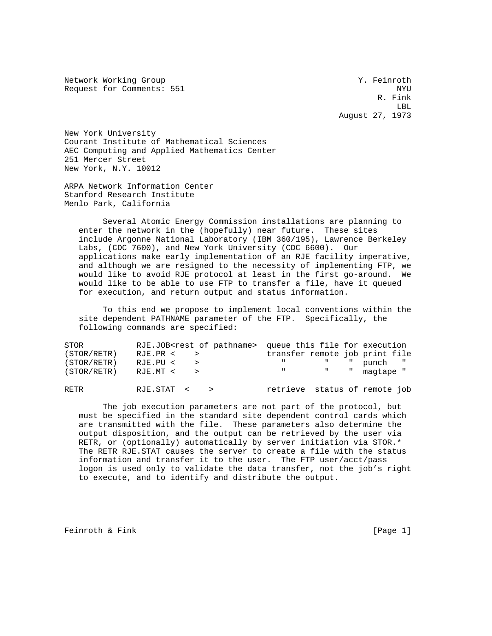Network Working Group 30 and 1999 and 1999 and 1999 and 1999 and 1999 and 1999 and 1999 and 1999 and 1999 and 1 Request for Comments: 551 NYU

 R. Fink LBL August 27, 1973

New York University Courant Institute of Mathematical Sciences AEC Computing and Applied Mathematics Center 251 Mercer Street New York, N.Y. 10012

ARPA Network Information Center Stanford Research Institute Menlo Park, California

 Several Atomic Energy Commission installations are planning to enter the network in the (hopefully) near future. These sites include Argonne National Laboratory (IBM 360/195), Lawrence Berkeley Labs, (CDC 7600), and New York University (CDC 6600). Our applications make early implementation of an RJE facility imperative, and although we are resigned to the necessity of implementing FTP, we would like to avoid RJE protocol at least in the first go-around. We would like to be able to use FTP to transfer a file, have it queued for execution, and return output and status information.

 To this end we propose to implement local conventions within the site dependent PATHNAME parameter of the FTP. Specifically, the following commands are specified:

| STOR        |              | RJE.JOB <rest of="" pathname=""> queue this file for execution</rest> |
|-------------|--------------|-----------------------------------------------------------------------|
| (STOR/RETR) | $RJE.PR <$ > | transfer remote job print file                                        |
| (STOR/RETR) | RJE.PU <     | " " " punch "                                                         |
| (STOR/RETR) | $RJE.MT <$ > | " " magtape "                                                         |
| RETR        | RJE.STAT <   | retrieve status of remote job                                         |

 The job execution parameters are not part of the protocol, but must be specified in the standard site dependent control cards which are transmitted with the file. These parameters also determine the output disposition, and the output can be retrieved by the user via RETR, or (optionally) automatically by server initiation via STOR.\* The RETR RJE.STAT causes the server to create a file with the status information and transfer it to the user. The FTP user/acct/pass logon is used only to validate the data transfer, not the job's right to execute, and to identify and distribute the output.

Feinroth & Fink [Page 1]